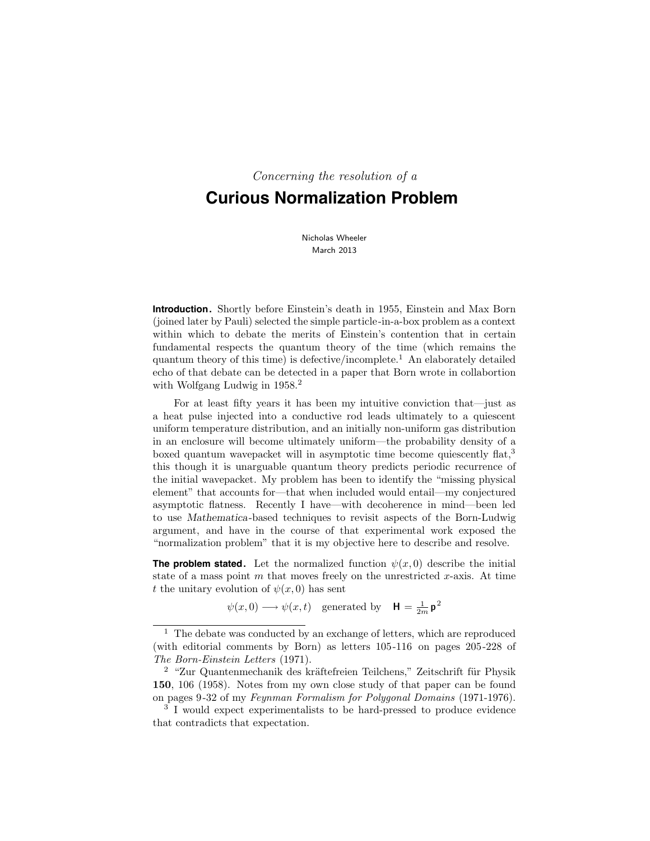Concerning the resolution of a

# **Curious Normalization Problem**

Nicholas Wheeler March 2013

**Introduction.** Shortly before Einstein's death in 1955, Einstein and Max Born (joined later by Pauli) selected the simple particle-in-a-box problem as a context within which to debate the merits of Einstein's contention that in certain fundamental respects the quantum theory of the time (which remains the quantum theory of this time) is defective/incomplete.<sup>1</sup> An elaborately detailed echo of that debate can be detected in a paper that Born wrote in collabortion with Wolfgang Ludwig in 1958.<sup>2</sup>

For at least fifty years it has been my intuitive conviction that—just as a heat pulse injected into a conductive rod leads ultimately to a quiescent uniform temperature distribution, and an initially non-uniform gas distribution in an enclosure will become ultimately uniform—the probability density of a boxed quantum wavepacket will in asymptotic time become quiescently flat,<sup>3</sup> this though it is unarguable quantum theory predicts periodic recurrence of the initial wavepacket. My problem has been to identify the "missing physical element" that accounts for—that when included would entail—my conjectured asymptotic flatness. Recently I have—with decoherence in mind—been led to use Mathematica-based techniques to revisit aspects of the Born-Ludwig argument, and have in the course of that experimental work exposed the "normalization problem" that it is my objective here to describe and resolve.

**The problem stated.** Let the normalized function  $\psi(x, 0)$  describe the initial state of a mass point  $m$  that moves freely on the unrestricted  $x$ -axis. At time t the unitary evolution of  $\psi(x,0)$  has sent

 $\psi(x,0) \longrightarrow \psi(x,t)$  generated by  $\mathbf{H} = \frac{1}{2m} \mathbf{p}^2$ 

 $1$  The debate was conducted by an exchange of letters, which are reproduced (with editorial comments by Born) as letters 105-116 on pages 205-228 of The Born-Einstein Letters (1971).

 $2$  "Zur Quantenmechanik des kräftefreien Teilchens," Zeitschrift für Physik 150, 106 (1958). Notes from my own close study of that paper can be found on pages 9-32 of my Feynman Formalism for Polygonal Domains (1971-1976).

<sup>3</sup> I would expect experimentalists to be hard-pressed to produce evidence that contradicts that expectation.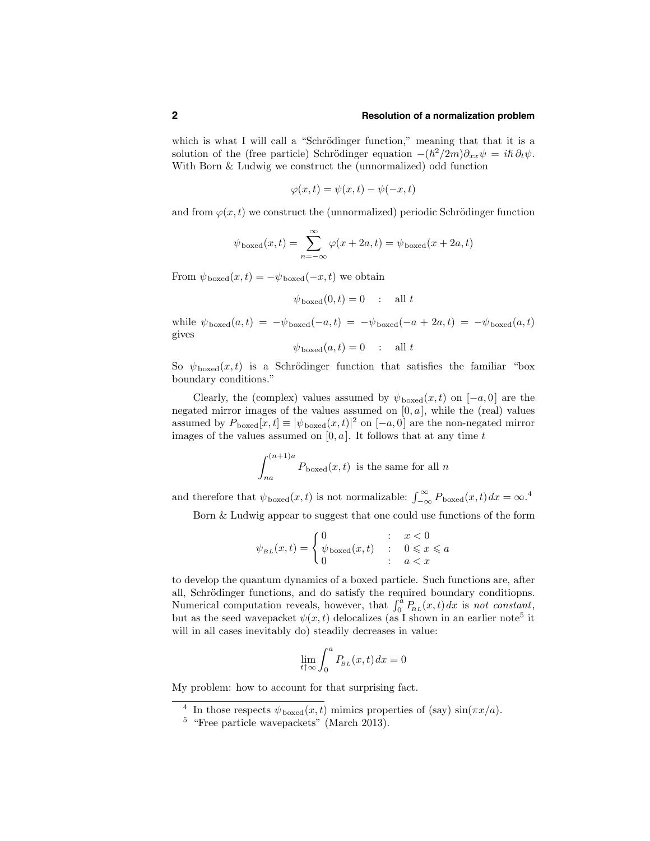### **2 Resolution of a normalization problem**

which is what I will call a "Schrödinger function," meaning that that it is a solution of the (free particle) Schrödinger equation  $-(\hbar^2/2m)\partial_{xx}\psi = i\hbar \partial_t \psi$ . With Born & Ludwig we construct the (unnormalized) odd function

$$
\varphi(x,t) = \psi(x,t) - \psi(-x,t)
$$

and from  $\varphi(x,t)$  we construct the (unnormalized) periodic Schrödinger function

$$
\psi_{\text{boxed}}(x,t) = \sum_{n=-\infty}^{\infty} \varphi(x+2a,t) = \psi_{\text{boxed}}(x+2a,t)
$$

From  $\psi_{\text{boxed}}(x,t) = -\psi_{\text{boxed}}(-x,t)$  we obtain

$$
\psi_{\text{boxed}}(0,t) = 0 \quad : \quad \text{all } t
$$

while  $\psi_{\text{boxed}}(a,t) = -\psi_{\text{boxed}}(-a,t) = -\psi_{\text{boxed}}(-a+2a,t) = -\psi_{\text{boxed}}(a,t)$ gives

$$
\psi_{\text{boxed}}(a,t) = 0 \quad : \quad \text{all } t
$$

So  $\psi_{\text{boxed}}(x,t)$  is a Schrödinger function that satisfies the familiar "box" boundary conditions."

Clearly, the (complex) values assumed by  $\psi_{\text{boxed}}(x,t)$  on  $[-a,0]$  are the negated mirror images of the values assumed on  $[0, a]$ , while the (real) values assumed by  $P_{\text{boxed}}[x,t] \equiv |\psi_{\text{boxed}}(x,t)|^2$  on  $[-a,0]$  are the non-negated mirror images of the values assumed on  $[0, a]$ . It follows that at any time t

$$
\int_{na}^{(n+1)a} P_{\text{boxed}}(x, t)
$$
 is the same for all *n*

and therefore that  $\psi_{\text{boxed}}(x,t)$  is not normalizable:  $\int_{-\infty}^{\infty} P_{\text{boxed}}(x,t) dx = \infty$ .<sup>4</sup>

Born & Ludwig appear to suggest that one could use functions of the form

$$
\psi_{\scriptscriptstyle BL}(x,t) = \begin{cases} 0 & \text{: } x < 0 \\ \psi_{\text{boxed}}(x,t) & \text{: } 0 \leqslant x \leqslant a \\ 0 & \text{: } a < x \end{cases}
$$

to develop the quantum dynamics of a boxed particle. Such functions are, after all, Schrödinger functions, and do satisfy the required boundary conditions. Numerical computation reveals, however, that  $\int_0^{\tilde{a}} P_{BL}(x,t) dx$  is not constant, but as the seed wavepacket  $\psi(x,t)$  delocalizes (as I shown in an earlier note<sup>5</sup> it will in all cases inevitably do) steadily decreases in value:

$$
\lim_{t \uparrow \infty} \int_0^a P_{\!BL}(x,t) \, dx = 0
$$

My problem: how to account for that surprising fact.

<sup>&</sup>lt;sup>4</sup> In those respects  $\psi_{\text{boxed}}(x,t)$  mimics properties of (say)  $\sin(\pi x/a)$ .

<sup>&</sup>lt;sup>5</sup> "Free particle wavepackets" (March 2013).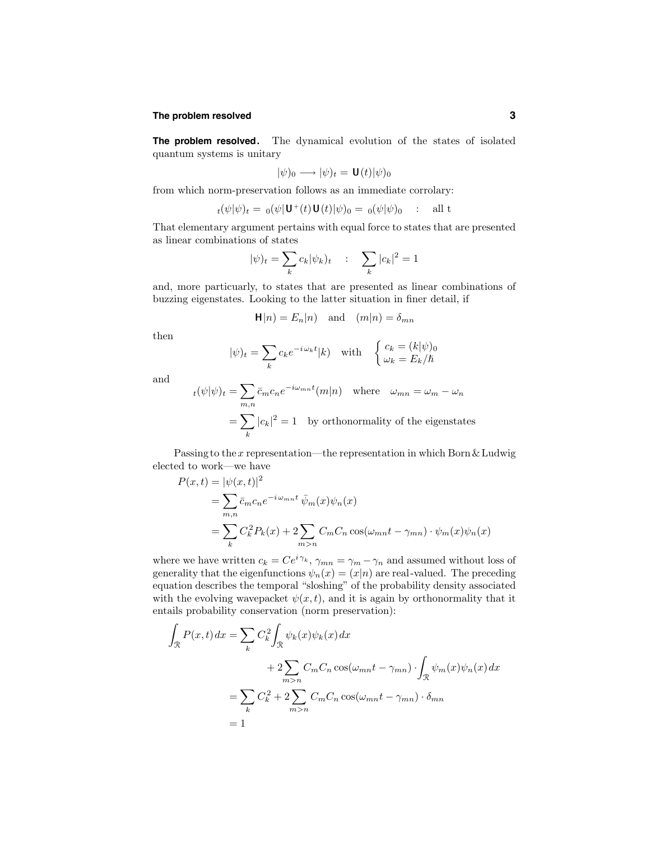### **The problem resolved 3**

**The problem resolved.** The dynamical evolution of the states of isolated quantum systems is unitary

$$
|\psi)_0 \longrightarrow |\psi)_t = \mathbf{U}(t)|\psi)_0
$$

from which norm-preservation follows as an immediate corrolary:

$$
t(\psi|\psi)_t = \mathbf{0}(\psi|\mathbf{U}^+(t)\mathbf{U}(t)|\psi)_0 = \mathbf{0}(\psi|\psi)_0 \quad : \quad \text{all } t
$$

That elementary argument pertains with equal force to states that are presented as linear combinations of states

$$
|\psi)_t = \sum_k c_k |\psi_k)_t \quad : \quad \sum_k |c_k|^2 = 1
$$

and, more particuarly, to states that are presented as linear combinations of buzzing eigenstates. Looking to the latter situation in finer detail, if

$$
\mathbf{H}|n) = E_n|n) \text{ and } (m|n) = \delta_{mn}
$$

then

$$
|\psi)_t = \sum_k c_k e^{-i\omega_k t} |k\rangle \quad \text{with} \quad \begin{cases} c_k = (k|\psi)_0 \\ \omega_k = E_k/\hbar \end{cases}
$$

and

$$
t(\psi|\psi)_t = \sum_{m,n} \bar{c}_m c_n e^{-i\omega_{mn}t} (m|n) \text{ where } \omega_{mn} = \omega_m - \omega_n
$$

$$
= \sum_k |c_k|^2 = 1 \text{ by orthonormality of the eigenstates}
$$

Passing to the x representation—the representation in which Born  $\&$  Ludwig elected to work—we have

$$
P(x,t) = |\psi(x,t)|^2
$$
  
= 
$$
\sum_{m,n} \bar{c}_m c_n e^{-i\omega_{mn}t} \bar{\psi}_m(x) \psi_n(x)
$$
  
= 
$$
\sum_k C_k^2 P_k(x) + 2 \sum_{m>n} C_m C_n \cos(\omega_{mn}t - \gamma_{mn}) \cdot \psi_m(x) \psi_n(x)
$$

where we have written  $c_k = Ce^{i\gamma_k}$ ,  $\gamma_{mn} = \gamma_m - \gamma_n$  and assumed without loss of generality that the eigenfunctions  $\psi_n(x) = (x|n)$  are real-valued. The preceding equation describes the temporal "sloshing" of the probability density associated with the evolving wavepacket  $\psi(x,t)$ , and it is again by orthonormality that it entails probability conservation (norm preservation):

$$
\int_{\mathcal{R}} P(x,t) dx = \sum_{k} C_{k}^{2} \int_{\mathcal{R}} \psi_{k}(x) \psi_{k}(x) dx
$$
  
+ 
$$
2 \sum_{m>n} C_{m} C_{n} \cos(\omega_{mn} t - \gamma_{mn}) \cdot \int_{\mathcal{R}} \psi_{m}(x) \psi_{n}(x) dx
$$
  
= 
$$
\sum_{k} C_{k}^{2} + 2 \sum_{m>n} C_{m} C_{n} \cos(\omega_{mn} t - \gamma_{mn}) \cdot \delta_{mn}
$$
  
= 1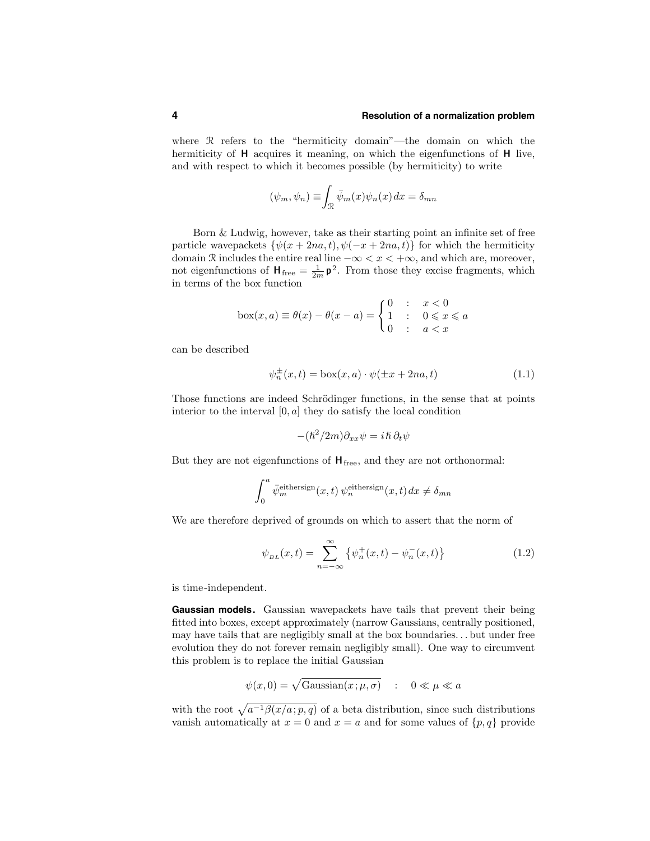#### **4 Resolution of a normalization problem**

where  $\Re$  refers to the "hermiticity domain"—the domain on which the hermiticity of **H** acquires it meaning, on which the eigenfunctions of **H** live, and with respect to which it becomes possible (by hermiticity) to write

$$
(\psi_m, \psi_n) \equiv \int_{\mathcal{R}} \bar{\psi}_m(x) \psi_n(x) dx = \delta_{mn}
$$

Born & Ludwig, however, take as their starting point an infinite set of free particle wavepackets  $\{\psi(x+2na,t), \psi(-x+2na,t)\}\$  for which the hermiticity domain R includes the entire real line  $-\infty < x < +\infty$ , and which are, moreover, not eigenfunctions of  $H_{\text{free}} = \frac{1}{2m} p^2$ . From those they excise fragments, which in terms of the box function

$$
box(x, a) \equiv \theta(x) - \theta(x - a) = \begin{cases} 0 & : & x < 0 \\ 1 & : & 0 \leq x \leq a \\ 0 & : & a < x \end{cases}
$$

can be described

$$
\psi_n^{\pm}(x,t) = \text{box}(x,a) \cdot \psi(\pm x + 2na, t) \tag{1.1}
$$

Those functions are indeed Schrödinger functions, in the sense that at points interior to the interval  $[0, a]$  they do satisfy the local condition

$$
-(\hslash^2/2m)\partial_{xx}\psi = i\hslash \partial_t\psi
$$

But they are not eigenfunctions of  $H_{\text{free}}$ , and they are not orthonormal:

$$
\int_0^a \bar{\psi}_m^{\text{eithersign}}(x,t) \psi_n^{\text{eithersign}}(x,t) dx \neq \delta_{mn}
$$

We are therefore deprived of grounds on which to assert that the norm of

$$
\psi_{BL}(x,t) = \sum_{n=-\infty}^{\infty} \{ \psi_n^+(x,t) - \psi_n^-(x,t) \}
$$
\n(1.2)

is time-independent.

**Gaussian models.** Gaussian wavepackets have tails that prevent their being fitted into boxes, except approximately (narrow Gaussians, centrally positioned, may have tails that are negligibly small at the box boundaries. . . but under free evolution they do not forever remain negligibly small). One way to circumvent this problem is to replace the initial Gaussian

$$
\psi(x,0) = \sqrt{\text{Gaussian}(x;\mu,\sigma)} \quad : \quad 0 \ll \mu \ll a
$$

with the root  $\sqrt{a^{-1}\beta(x/a; p, q)}$  of a beta distribution, since such distributions vanish automatically at  $x = 0$  and  $x = a$  and for some values of  $\{p, q\}$  provide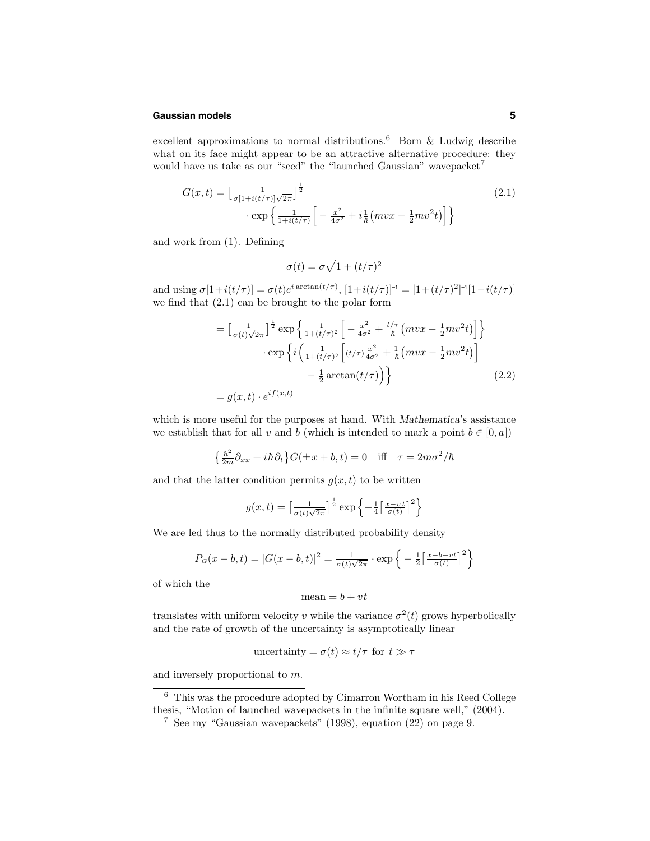#### **Gaussian models 5**

excellent approximations to normal distributions.<sup>6</sup> Born  $\&$  Ludwig describe what on its face might appear to be an attractive alternative procedure: they would have us take as our "seed" the "launched Gaussian" wavepacket<sup>7</sup>

$$
G(x,t) = \left[\frac{1}{\sigma[1+i(t/\tau)]\sqrt{2\pi}}\right]^{\frac{1}{2}}
$$
  
 
$$
\cdot \exp\left\{\frac{1}{1+i(t/\tau)}\left[-\frac{x^2}{4\sigma^2} + i\frac{1}{\hbar}(mvx - \frac{1}{2}mv^2t)\right]\right\}
$$
 (2.1)

and work from (1). Defining

$$
\sigma(t) = \sigma \sqrt{1 + (t/\tau)^2}
$$

and using  $\sigma[1+i(t/\tau)] = \sigma(t)e^{i \arctan(t/\tau)}$ ,  $[1+i(t/\tau)]^{-1} = [1+(t/\tau)^2]^{-1}[1-i(t/\tau)]$ we find that (2.1) can be brought to the polar form

$$
= \left[\frac{1}{\sigma(t)\sqrt{2\pi}}\right]^{\frac{1}{2}} \exp\left\{\frac{1}{1+(t/\tau)^2}\left[-\frac{x^2}{4\sigma^2} + \frac{t/\tau}{\hbar}\left(mvx - \frac{1}{2}mv^2t\right)\right]\right\}
$$

$$
\cdot \exp\left\{i\left(\frac{1}{1+(t/\tau)^2}\left[(t/\tau)\frac{x^2}{4\sigma^2} + \frac{1}{\hbar}\left(mvx - \frac{1}{2}mv^2t\right)\right]\right\}
$$

$$
-\frac{1}{2}\arctan(t/\tau)\right)\right\}
$$
(2.2)
$$
= g(x,t) \cdot e^{if(x,t)}
$$

which is more useful for the purposes at hand. With Mathematica's assistance we establish that for all v and b (which is intended to mark a point  $b \in [0, a]$ )

$$
\left\{\frac{\hbar^2}{2m}\partial_{xx} + i\hbar\partial_t\right\} G(\pm x + b, t) = 0 \quad \text{iff} \quad \tau = 2m\sigma^2/\hbar
$$

and that the latter condition permits  $g(x,t)$  to be written

$$
g(x,t) = \left[\frac{1}{\sigma(t)\sqrt{2\pi}}\right]^{\frac{1}{2}} \exp\left\{-\frac{1}{4}\left[\frac{x-vt}{\sigma(t)}\right]^2\right\}
$$

We are led thus to the normally distributed probability density

$$
P_G(x - b, t) = |G(x - b, t)|^2 = \frac{1}{\sigma(t)\sqrt{2\pi}} \cdot \exp\left\{-\frac{1}{2} \left[\frac{x - b - vt}{\sigma(t)}\right]^2\right\}
$$

of which the

$$
mean = b + vt
$$

translates with uniform velocity v while the variance  $\sigma^2(t)$  grows hyperbolically and the rate of growth of the uncertainty is asymptotically linear

uncertainty = 
$$
\sigma(t) \approx t/\tau
$$
 for  $t \gg \tau$ 

and inversely proportional to m.

<sup>6</sup> This was the procedure adopted by Cimarron Wortham in his Reed College thesis, "Motion of launched wavepackets in the infinite square well," (2004).

<sup>7</sup> See my "Gaussian wavepackets" (1998), equation (22) on page 9.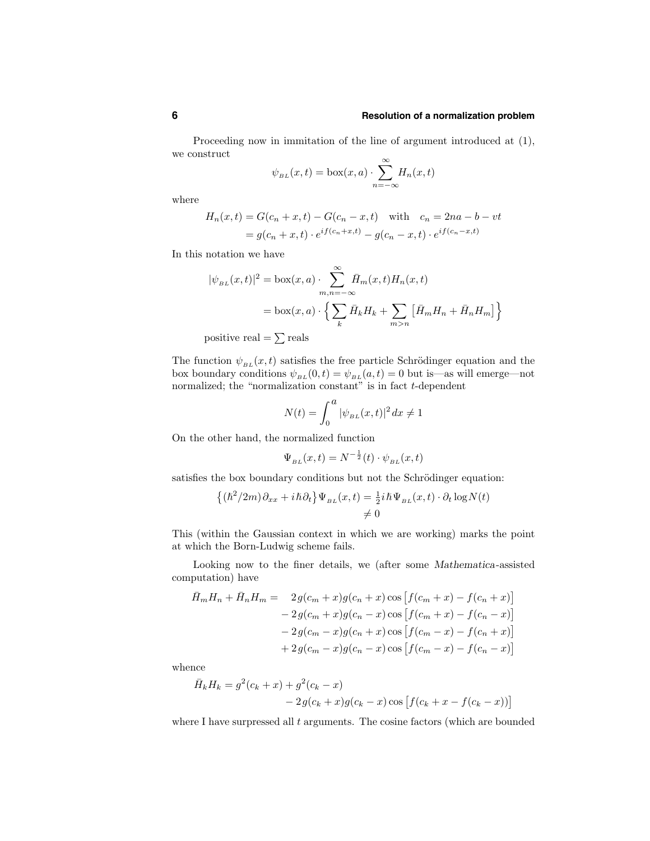#### **6 Resolution of a normalization problem**

Proceeding now in immitation of the line of argument introduced at (1), we construct

$$
\psi_{BL}(x,t) = \text{box}(x,a) \cdot \sum_{n=-\infty}^{\infty} H_n(x,t)
$$

where

$$
H_n(x,t) = G(c_n + x, t) - G(c_n - x, t) \text{ with } c_n = 2na - b - vt
$$
  
=  $g(c_n + x, t) \cdot e^{if(c_n + x, t)} - g(c_n - x, t) \cdot e^{if(c_n - x, t)}$ 

In this notation we have

$$
|\psi_{BL}(x,t)|^2 = \text{box}(x,a) \cdot \sum_{m,n=-\infty}^{\infty} \bar{H}_m(x,t) H_n(x,t)
$$

$$
= \text{box}(x,a) \cdot \left\{ \sum_k \bar{H}_k H_k + \sum_{m>n} \left[ \bar{H}_m H_n + \bar{H}_n H_m \right] \right\}
$$

positive real  $=$   $\sum$  reals

The function  $\psi_{BL}(x,t)$  satisfies the free particle Schrödinger equation and the box boundary conditions  $\psi_{BL}(0,t) = \psi_{BL}(a,t) = 0$  but is—as will emerge—not normalized; the "normalization constant" is in fact  $t$ -dependent

$$
N(t) = \int_0^a |\psi_{BL}(x, t)|^2 \, dx \neq 1
$$

On the other hand, the normalized function

$$
\Psi_{BL}(x,t) = N^{-\frac{1}{2}}(t) \cdot \psi_{BL}(x,t)
$$

satisfies the box boundary conditions but not the Schrödinger equation:

$$
\begin{aligned} \left\{ (\hbar^2/2m)\partial_{xx} + i\hbar \partial_t \right\} \Psi_{BL}(x,t) &= \frac{1}{2} i\hbar \Psi_{BL}(x,t) \cdot \partial_t \log N(t) \\ &\neq 0 \end{aligned}
$$

This (within the Gaussian context in which we are working) marks the point at which the Born-Ludwig scheme fails.

Looking now to the finer details, we (after some Mathematica-assisted computation) have

$$
\bar{H}_m H_n + \bar{H}_n H_m = 2g(c_m + x)g(c_n + x)\cos\left[f(c_m + x) - f(c_n + x)\right] \n- 2g(c_m + x)g(c_n - x)\cos\left[f(c_m + x) - f(c_n - x)\right] \n- 2g(c_m - x)g(c_n + x)\cos\left[f(c_m - x) - f(c_n + x)\right] \n+ 2g(c_m - x)g(c_n - x)\cos\left[f(c_m - x) - f(c_n - x)\right]
$$

whence

$$
\bar{H}_k H_k = g^2(c_k + x) + g^2(c_k - x) - 2g(c_k + x)g(c_k - x)\cos[f(c_k + x - f(c_k - x))]
$$

where I have surpressed all  $t$  arguments. The cosine factors (which are bounded